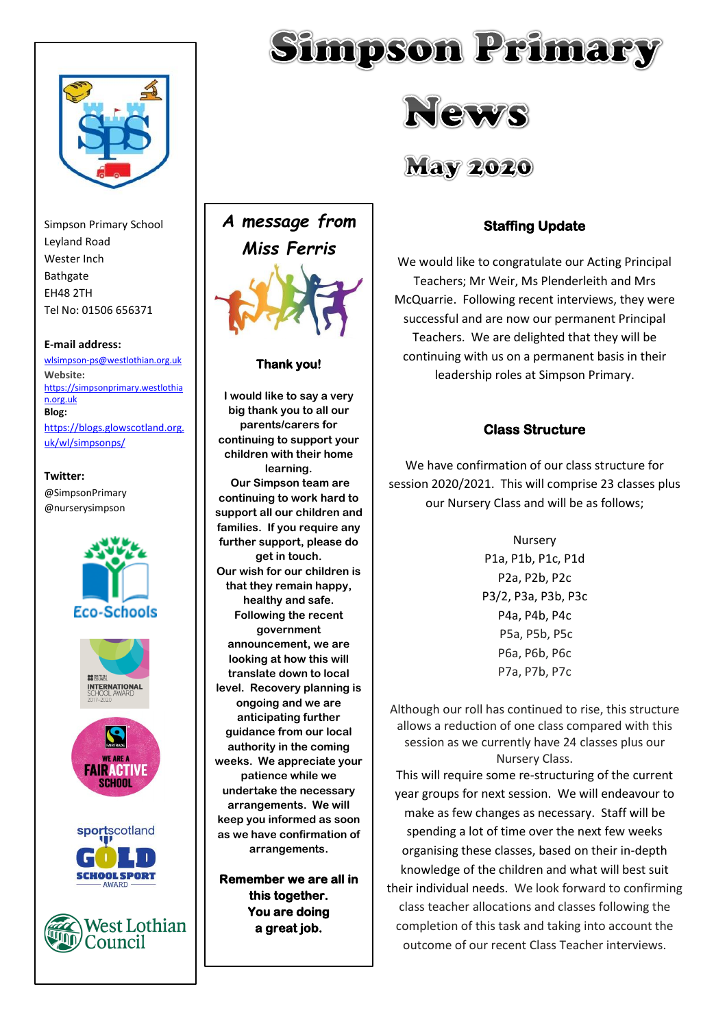

Simpson Primary School Leyland Road Wester Inch Bathgate EH48 2TH Tel No: 01506 656371

#### **E-mail address:**

[wlsimpson-ps@westlothian.org.uk](mailto:wlsimpson-ps@westlothian.org.uk) **Website:** [https://simpsonprimary.westlothia](https://simpsonprimary.westlothian.org.uk/) [n.org.uk](https://simpsonprimary.westlothian.org.uk/) **Blog:**

[https://blogs.glowscotland.org.](https://blogs.glowscotland.org.uk/wl/simpsonps/) [uk/wl/simpsonps/](https://blogs.glowscotland.org.uk/wl/simpsonps/)

## **Twitter:** @SimpsonPrimary

@nurserysimpson





# **Thank you!**

**I would like to say a very big thank you to all our parents/carers for continuing to support your children with their home learning. Our Simpson team are continuing to work hard to support all our children and families. If you require any further support, please do get in touch. Our wish for our children is that they remain happy, healthy and safe. Following the recent government announcement, we are looking at how this will translate down to local level. Recovery planning is ongoing and we are anticipating further guidance from our local authority in the coming weeks. We appreciate your patience while we undertake the necessary arrangements. We will keep you informed as soon as we have confirmation of arrangements.** 

**Remember we are all in this together. You are doing a great job.** 





# **May 2020**

# **Staffing Update**

We would like to congratulate our Acting Principal Teachers; Mr Weir, Ms Plenderleith and Mrs McQuarrie. Following recent interviews, they were successful and are now our permanent Principal Teachers. We are delighted that they will be continuing with us on a permanent basis in their leadership roles at Simpson Primary.

# **Class Structure**

We have confirmation of our class structure for session 2020/2021. This will comprise 23 classes plus our Nursery Class and will be as follows;

> Nursery P1a, P1b, P1c, P1d P2a, P2b, P2c P3/2, P3a, P3b, P3c P4a, P4b, P4c P5a, P5b, P5c P6a, P6b, P6c P7a, P7b, P7c

Although our roll has continued to rise, this structure allows a reduction of one class compared with this session as we currently have 24 classes plus our Nursery Class.

This will require some re-structuring of the current year groups for next session. We will endeavour to make as few changes as necessary. Staff will be spending a lot of time over the next few weeks organising these classes, based on their in-depth knowledge of the children and what will best suit their individual needs. We look forward to confirming class teacher allocations and classes following the completion of this task and taking into account the outcome of our recent Class Teacher interviews.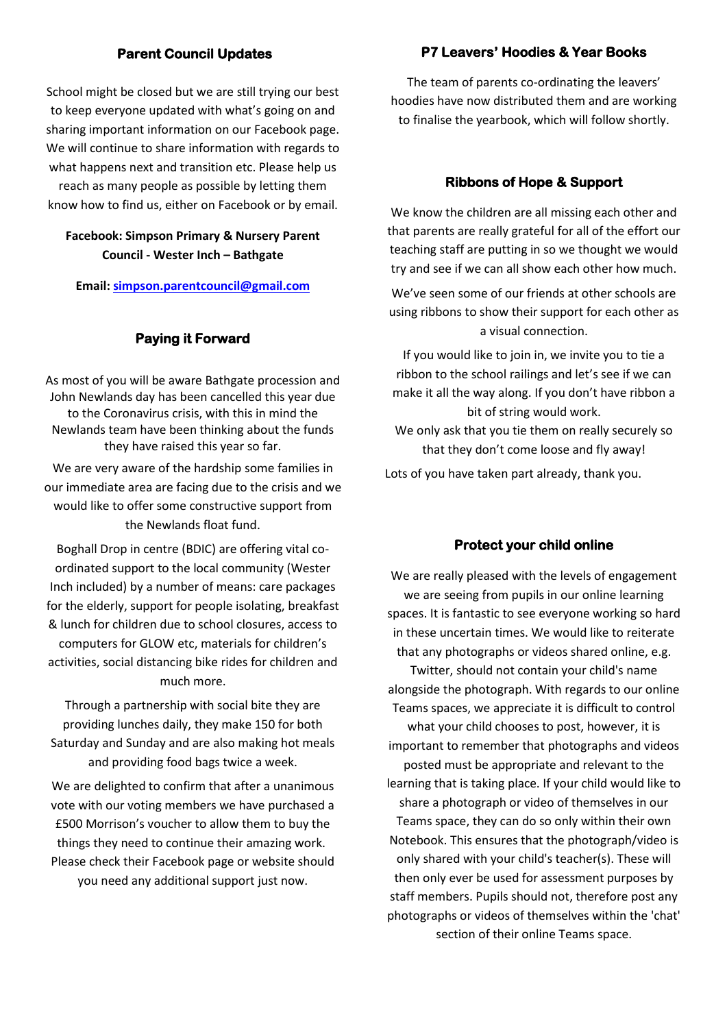# **Parent Council Updates**

School might be closed but we are still trying our best to keep everyone updated with what's going on and sharing important information on our Facebook page. We will continue to share information with regards to what happens next and transition etc. Please help us reach as many people as possible by letting them know how to find us, either on Facebook or by email.

# **Facebook: Simpson Primary & Nursery Parent Council - Wester Inch – Bathgate**

**Email[: simpson.parentcouncil@gmail.com](mailto:simpson.parentcouncil@gmail.com)**

#### **Paying it Forward**

As most of you will be aware Bathgate procession and John Newlands day has been cancelled this year due to the Coronavirus crisis, with this in mind the Newlands team have been thinking about the funds they have raised this year so far.

We are very aware of the hardship some families in our immediate area are facing due to the crisis and we would like to offer some constructive support from the Newlands float fund.

Boghall Drop in centre (BDIC) are offering vital coordinated support to the local community (Wester Inch included) by a number of means: care packages for the elderly, support for people isolating, breakfast & lunch for children due to school closures, access to computers for GLOW etc, materials for children's activities, social distancing bike rides for children and much more.

Through a partnership with social bite they are providing lunches daily, they make 150 for both Saturday and Sunday and are also making hot meals and providing food bags twice a week.

We are delighted to confirm that after a unanimous vote with our voting members we have purchased a £500 Morrison's voucher to allow them to buy the things they need to continue their amazing work. Please check their Facebook page or website should you need any additional support just now.

# **P7 Leavers' Hoodies & Year Books**

The team of parents co-ordinating the leavers' hoodies have now distributed them and are working to finalise the yearbook, which will follow shortly.

#### **Ribbons of Hope & Support**

We know the children are all missing each other and that parents are really grateful for all of the effort our teaching staff are putting in so we thought we would try and see if we can all show each other how much.

We've seen some of our friends at other schools are using ribbons to show their support for each other as a visual connection.

If you would like to join in, we invite you to tie a ribbon to the school railings and let's see if we can make it all the way along. If you don't have ribbon a bit of string would work. We only ask that you tie them on really securely so that they don't come loose and fly away!

Lots of you have taken part already, thank you.

#### **Protect your child online**

We are really pleased with the levels of engagement we are seeing from pupils in our online learning spaces. It is fantastic to see everyone working so hard in these uncertain times. We would like to reiterate that any photographs or videos shared online, e.g. Twitter, should not contain your child's name alongside the photograph. With regards to our online Teams spaces, we appreciate it is difficult to control what your child chooses to post, however, it is important to remember that photographs and videos posted must be appropriate and relevant to the learning that is taking place. If your child would like to share a photograph or video of themselves in our Teams space, they can do so only within their own Notebook. This ensures that the photograph/video is only shared with your child's teacher(s). These will then only ever be used for assessment purposes by staff members. Pupils should not, therefore post any photographs or videos of themselves within the 'chat' section of their online Teams space.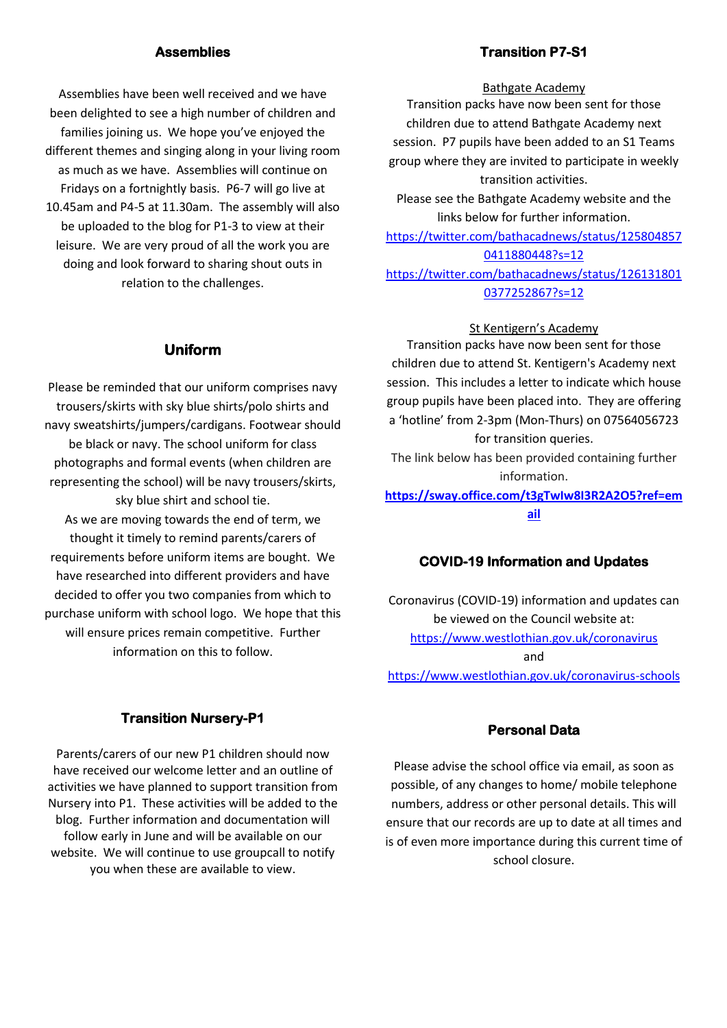#### **Assemblies**

Assemblies have been well received and we have been delighted to see a high number of children and families joining us. We hope you've enjoyed the different themes and singing along in your living room as much as we have. Assemblies will continue on Fridays on a fortnightly basis. P6-7 will go live at 10.45am and P4-5 at 11.30am. The assembly will also be uploaded to the blog for P1-3 to view at their leisure. We are very proud of all the work you are doing and look forward to sharing shout outs in relation to the challenges.

#### **Uniform**

Please be reminded that our uniform comprises navy trousers/skirts with sky blue shirts/polo shirts and navy sweatshirts/jumpers/cardigans. Footwear should be black or navy. The school uniform for class photographs and formal events (when children are representing the school) will be navy trousers/skirts, sky blue shirt and school tie. As we are moving towards the end of term, we thought it timely to remind parents/carers of requirements before uniform items are bought. We have researched into different providers and have decided to offer you two companies from which to purchase uniform with school logo. We hope that this will ensure prices remain competitive. Further information on this to follow.

## **Transition P7-S1**

#### Bathgate Academy

Transition packs have now been sent for those children due to attend Bathgate Academy next session. P7 pupils have been added to an S1 Teams group where they are invited to participate in weekly transition activities.

Please see the Bathgate Academy website and the links below for further information.

[https://twitter.com/bathacadnews/status/125804857](https://twitter.com/bathacadnews/status/1258048570411880448?s=12) [0411880448?s=12](https://twitter.com/bathacadnews/status/1258048570411880448?s=12)

[https://twitter.com/bathacadnews/status/126131801](https://twitter.com/bathacadnews/status/1261318010377252867?s=12) [0377252867?s=12](https://twitter.com/bathacadnews/status/1261318010377252867?s=12)

#### St Kentigern's Academy

Transition packs have now been sent for those children due to attend St. Kentigern's Academy next session. This includes a letter to indicate which house group pupils have been placed into. They are offering a 'hotline' from 2-3pm (Mon-Thurs) on 07564056723 for transition queries.

The link below has been provided containing further information.

**[https://sway.office.com/t3gTwIw8I3R2A2O5?ref=em](http://email.groupcallalert.com/ls/click?upn=bJZk88rGaCGh2pJxHJyqjwNhliBG3uphquvgUxSbuY-2FteShXtVc6uhYpC-2Bfl5APw8qpRVrBLK0tu8-2F4C9r-2B-2Fxg-3D-3DdaK-_g5SA22ujWOnrssQ9vLzjRRXbBWU0se1VZZDl8zve3lJ-2Fcz5D9luc9gZ012YSN8ffykmhRaH1X1QUXuWSy0fM5HFdnSWsGD-2F8wOH94hyPQQ64hbGGcnktM3Mq1R3TInWraPvOoStLpgcnHr894RKTpXcJnFtKOnh2cz5BH6tLohkcryJcj73JuRqH-2BEmhlUSvjV70vkEFWzgNlgsqJ-2FwOB0zm20e9U-2FXFEowcfCT9FoX-2BnDVhbvOkyPLnZTFPOAB-2Fmm2AqD1km7HKkc0cC0S4zdia9G61c1mfSG5bIUbzA7Ly8ohlMcISHWFg-2B-2FFxpH7HLsmXhJs-2FjzMh8Tdwb1k13IlltTDmnV-2B1gjxh7MnxKFFElKBtPz1E-2F05-2FklFOAeT9pupAK0xQFZfS9fPeolj-2BHQ-3D-3D) [ail](http://email.groupcallalert.com/ls/click?upn=bJZk88rGaCGh2pJxHJyqjwNhliBG3uphquvgUxSbuY-2FteShXtVc6uhYpC-2Bfl5APw8qpRVrBLK0tu8-2F4C9r-2B-2Fxg-3D-3DdaK-_g5SA22ujWOnrssQ9vLzjRRXbBWU0se1VZZDl8zve3lJ-2Fcz5D9luc9gZ012YSN8ffykmhRaH1X1QUXuWSy0fM5HFdnSWsGD-2F8wOH94hyPQQ64hbGGcnktM3Mq1R3TInWraPvOoStLpgcnHr894RKTpXcJnFtKOnh2cz5BH6tLohkcryJcj73JuRqH-2BEmhlUSvjV70vkEFWzgNlgsqJ-2FwOB0zm20e9U-2FXFEowcfCT9FoX-2BnDVhbvOkyPLnZTFPOAB-2Fmm2AqD1km7HKkc0cC0S4zdia9G61c1mfSG5bIUbzA7Ly8ohlMcISHWFg-2B-2FFxpH7HLsmXhJs-2FjzMh8Tdwb1k13IlltTDmnV-2B1gjxh7MnxKFFElKBtPz1E-2F05-2FklFOAeT9pupAK0xQFZfS9fPeolj-2BHQ-3D-3D)**

#### **COVID-19 Information and Updates**

Coronavirus (COVID-19) information and updates can be viewed on the Council website at: <https://www.westlothian.gov.uk/coronavirus> and <https://www.westlothian.gov.uk/coronavirus-schools>

## **Transition Nursery-P1**

Parents/carers of our new P1 children should now have received our welcome letter and an outline of activities we have planned to support transition from Nursery into P1. These activities will be added to the blog. Further information and documentation will follow early in June and will be available on our website. We will continue to use groupcall to notify you when these are available to view.

#### **Personal Data**

Please advise the school office via email, as soon as possible, of any changes to home/ mobile telephone numbers, address or other personal details. This will ensure that our records are up to date at all times and is of even more importance during this current time of school closure.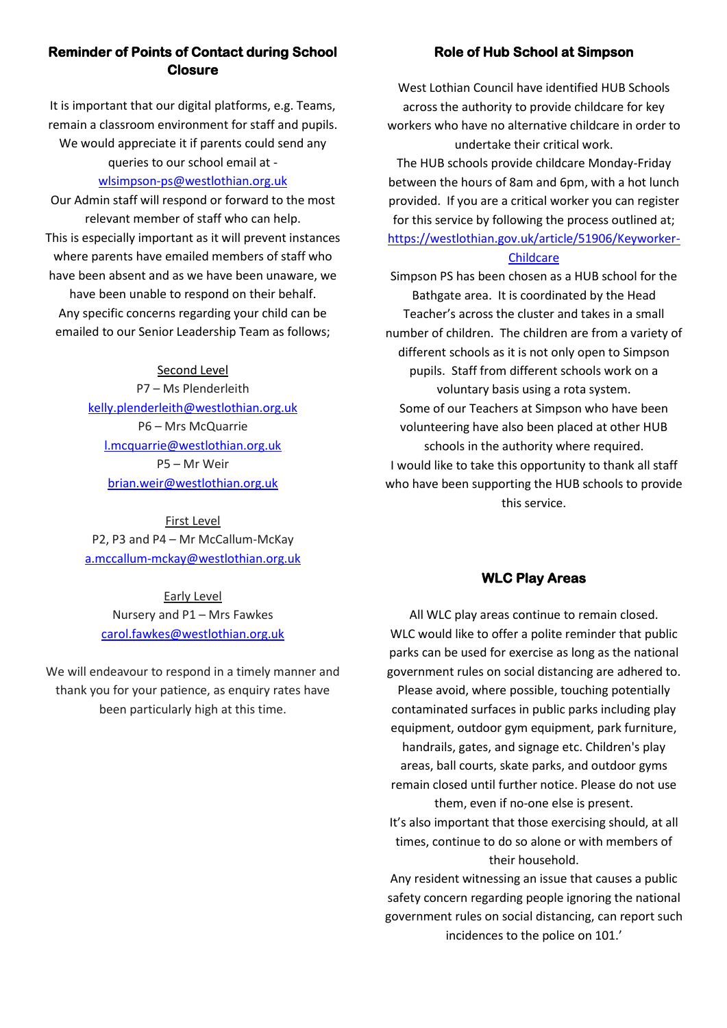# **Reminder of Points of Contact during School Closure**

It is important that our digital platforms, e.g. Teams, remain a classroom environment for staff and pupils. We would appreciate it if parents could send any queries to our school email at -

#### [wlsimpson-ps@westlothian.org.uk](mailto:wlsimpson-ps@westlothian.org.uk)

Our Admin staff will respond or forward to the most relevant member of staff who can help. This is especially important as it will prevent instances where parents have emailed members of staff who have been absent and as we have been unaware, we have been unable to respond on their behalf. Any specific concerns regarding your child can be emailed to our Senior Leadership Team as follows;

#### Second Level

P7 – Ms Plenderleith [kelly.plenderleith@westlothian.org.uk](mailto:kelly.plenderleith@westlothian.org.uk) P6 – Mrs McQuarrie [l.mcquarrie@westlothian.org.uk](mailto:l.mcquarrie@westlothian.org.uk) P5 – Mr Weir [brian.weir@westlothian.org.uk](mailto:brian.weir@westlothian.org.uk)

First Level P2, P3 and P4 – Mr McCallum-McKay [a.mccallum-mckay@westlothian.org.uk](mailto:a.mccallum-mckay@westlothian.org.uk)

Early Level Nursery and P1 – Mrs Fawkes [carol.fawkes@westlothian.org.uk](mailto:carol.fawkes@westlothian.org.uk)

We will endeavour to respond in a timely manner and thank you for your patience, as enquiry rates have been particularly high at this time.

# **Role of Hub School at Simpson**

West Lothian Council have identified HUB Schools across the authority to provide childcare for key workers who have no alternative childcare in order to undertake their critical work.

The HUB schools provide childcare Monday-Friday between the hours of 8am and 6pm, with a hot lunch provided. If you are a critical worker you can register for this service by following the process outlined at; [https://westlothian.gov.uk/article/51906/Keyworker-](https://westlothian.gov.uk/article/51906/Keyworker-Childcare)**[Childcare](https://westlothian.gov.uk/article/51906/Keyworker-Childcare)** 

Simpson PS has been chosen as a HUB school for the Bathgate area. It is coordinated by the Head Teacher's across the cluster and takes in a small number of children. The children are from a variety of different schools as it is not only open to Simpson pupils. Staff from different schools work on a voluntary basis using a rota system. Some of our Teachers at Simpson who have been volunteering have also been placed at other HUB schools in the authority where required. I would like to take this opportunity to thank all staff who have been supporting the HUB schools to provide this service.

# **WLC Play Areas**

All WLC play areas continue to remain closed. WLC would like to offer a polite reminder that public parks can be used for exercise as long as the national government rules on social distancing are adhered to. Please avoid, where possible, touching potentially contaminated surfaces in public parks including play equipment, outdoor gym equipment, park furniture, handrails, gates, and signage etc. Children's play areas, ball courts, skate parks, and outdoor gyms remain closed until further notice. Please do not use them, even if no-one else is present.

It's also important that those exercising should, at all times, continue to do so alone or with members of their household.

Any resident witnessing an issue that causes a public safety concern regarding people ignoring the national government rules on social distancing, can report such incidences to the police on 101.'